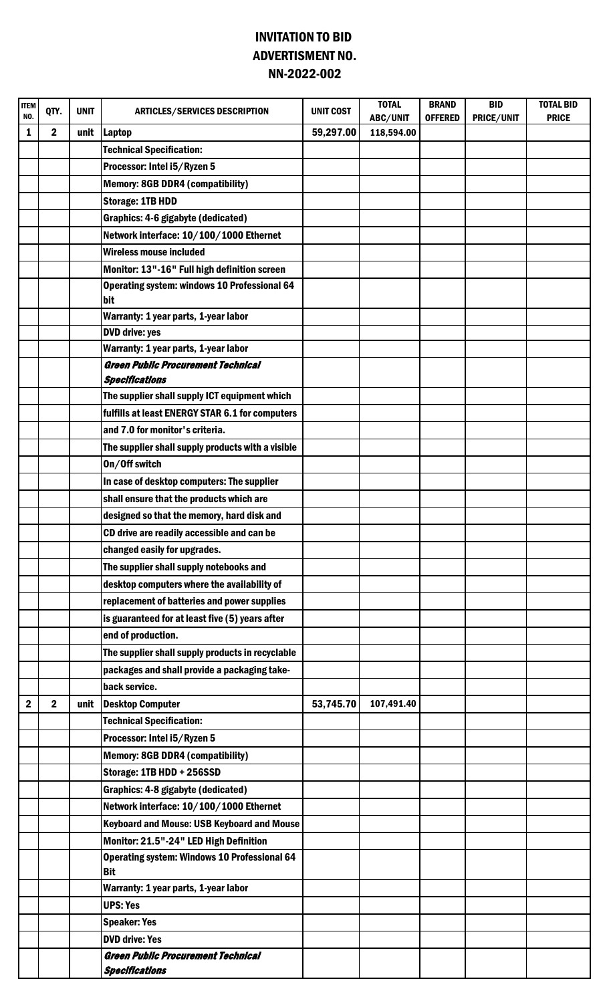## INVITATION TO BID NN-2022-002 ADVERTISMENT NO.

| <b>ITEM</b><br>NO. | QTY.           | <b>UNIT</b> | <b>ARTICLES/SERVICES DESCRIPTION</b>                               | <b>UNIT COST</b> | <b>TOTAL</b><br>ABC/UNIT | <b>BRAND</b><br><b>OFFERED</b> | <b>BID</b><br>PRICE/UNIT | <b>TOTAL BID</b><br><b>PRICE</b> |
|--------------------|----------------|-------------|--------------------------------------------------------------------|------------------|--------------------------|--------------------------------|--------------------------|----------------------------------|
| 1                  | $\mathbf 2$    | unit        | <b>Laptop</b>                                                      | 59,297.00        | 118,594.00               |                                |                          |                                  |
|                    |                |             | <b>Technical Specification:</b>                                    |                  |                          |                                |                          |                                  |
|                    |                |             | Processor: Intel i5/Ryzen 5                                        |                  |                          |                                |                          |                                  |
|                    |                |             | <b>Memory: 8GB DDR4 (compatibility)</b>                            |                  |                          |                                |                          |                                  |
|                    |                |             | <b>Storage: 1TB HDD</b>                                            |                  |                          |                                |                          |                                  |
|                    |                |             | Graphics: 4-6 gigabyte (dedicated)                                 |                  |                          |                                |                          |                                  |
|                    |                |             | Network interface: 10/100/1000 Ethernet                            |                  |                          |                                |                          |                                  |
|                    |                |             | <b>Wireless mouse included</b>                                     |                  |                          |                                |                          |                                  |
|                    |                |             | Monitor: 13"-16" Full high definition screen                       |                  |                          |                                |                          |                                  |
|                    |                |             | <b>Operating system: windows 10 Professional 64</b><br>bit         |                  |                          |                                |                          |                                  |
|                    |                |             | Warranty: 1 year parts, 1-year labor                               |                  |                          |                                |                          |                                  |
|                    |                |             | <b>DVD drive: yes</b>                                              |                  |                          |                                |                          |                                  |
|                    |                |             | Warranty: 1 year parts, 1-year labor                               |                  |                          |                                |                          |                                  |
|                    |                |             | <b>Green Public Procurement Technical</b>                          |                  |                          |                                |                          |                                  |
|                    |                |             | <b>Specifications</b>                                              |                  |                          |                                |                          |                                  |
|                    |                |             | The supplier shall supply ICT equipment which                      |                  |                          |                                |                          |                                  |
|                    |                |             | fulfills at least ENERGY STAR 6.1 for computers                    |                  |                          |                                |                          |                                  |
|                    |                |             | and 7.0 for monitor's criteria.                                    |                  |                          |                                |                          |                                  |
|                    |                |             | The supplier shall supply products with a visible                  |                  |                          |                                |                          |                                  |
|                    |                |             | On/Off switch                                                      |                  |                          |                                |                          |                                  |
|                    |                |             | In case of desktop computers: The supplier                         |                  |                          |                                |                          |                                  |
|                    |                |             | shall ensure that the products which are                           |                  |                          |                                |                          |                                  |
|                    |                |             | designed so that the memory, hard disk and                         |                  |                          |                                |                          |                                  |
|                    |                |             | CD drive are readily accessible and can be                         |                  |                          |                                |                          |                                  |
|                    |                |             | changed easily for upgrades.                                       |                  |                          |                                |                          |                                  |
|                    |                |             | The supplier shall supply notebooks and                            |                  |                          |                                |                          |                                  |
|                    |                |             | desktop computers where the availability of                        |                  |                          |                                |                          |                                  |
|                    |                |             | replacement of batteries and power supplies                        |                  |                          |                                |                          |                                  |
|                    |                |             | is guaranteed for at least five (5) years after                    |                  |                          |                                |                          |                                  |
|                    |                |             | end of production.                                                 |                  |                          |                                |                          |                                  |
|                    |                |             | The supplier shall supply products in recyclable                   |                  |                          |                                |                          |                                  |
|                    |                |             | packages and shall provide a packaging take-                       |                  |                          |                                |                          |                                  |
|                    |                |             | back service.                                                      |                  |                          |                                |                          |                                  |
| $\boldsymbol{2}$   | $\overline{2}$ | unit        | <b>Desktop Computer</b>                                            | 53,745.70        | 107,491.40               |                                |                          |                                  |
|                    |                |             | <b>Technical Specification:</b>                                    |                  |                          |                                |                          |                                  |
|                    |                |             | Processor: Intel i5/Ryzen 5                                        |                  |                          |                                |                          |                                  |
|                    |                |             | <b>Memory: 8GB DDR4 (compatibility)</b>                            |                  |                          |                                |                          |                                  |
|                    |                |             | Storage: 1TB HDD + 256SSD                                          |                  |                          |                                |                          |                                  |
|                    |                |             | Graphics: 4-8 gigabyte (dedicated)                                 |                  |                          |                                |                          |                                  |
|                    |                |             | Network interface: 10/100/1000 Ethernet                            |                  |                          |                                |                          |                                  |
|                    |                |             | <b>Keyboard and Mouse: USB Keyboard and Mouse</b>                  |                  |                          |                                |                          |                                  |
|                    |                |             | Monitor: 21.5"-24" LED High Definition                             |                  |                          |                                |                          |                                  |
|                    |                |             | <b>Operating system: Windows 10 Professional 64</b><br><b>Bit</b>  |                  |                          |                                |                          |                                  |
|                    |                |             | Warranty: 1 year parts, 1-year labor                               |                  |                          |                                |                          |                                  |
|                    |                |             | <b>UPS: Yes</b>                                                    |                  |                          |                                |                          |                                  |
|                    |                |             | <b>Speaker: Yes</b>                                                |                  |                          |                                |                          |                                  |
|                    |                |             | <b>DVD drive: Yes</b>                                              |                  |                          |                                |                          |                                  |
|                    |                |             | <b>Green Public Procurement Technical</b><br><b>Specifications</b> |                  |                          |                                |                          |                                  |
|                    |                |             |                                                                    |                  |                          |                                |                          |                                  |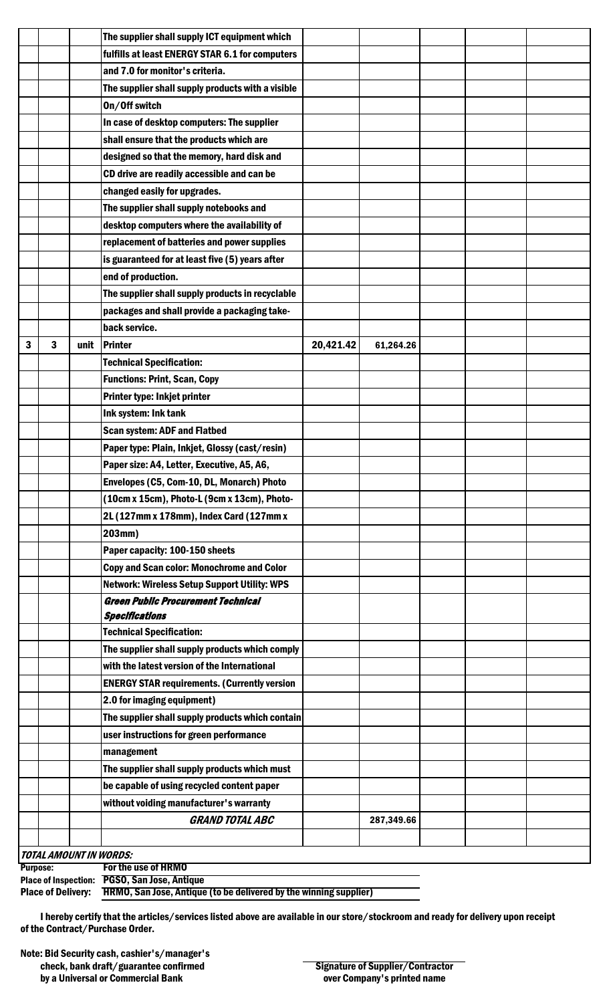|   |                                                                                        |      | The supplier shall supply ICT equipment which       |           |            |  |  |
|---|----------------------------------------------------------------------------------------|------|-----------------------------------------------------|-----------|------------|--|--|
|   |                                                                                        |      | fulfills at least ENERGY STAR 6.1 for computers     |           |            |  |  |
|   |                                                                                        |      | and 7.0 for monitor's criteria.                     |           |            |  |  |
|   |                                                                                        |      | The supplier shall supply products with a visible   |           |            |  |  |
|   |                                                                                        |      | On/Off switch                                       |           |            |  |  |
|   |                                                                                        |      | In case of desktop computers: The supplier          |           |            |  |  |
|   |                                                                                        |      | shall ensure that the products which are            |           |            |  |  |
|   |                                                                                        |      | designed so that the memory, hard disk and          |           |            |  |  |
|   |                                                                                        |      | CD drive are readily accessible and can be          |           |            |  |  |
|   |                                                                                        |      | changed easily for upgrades.                        |           |            |  |  |
|   |                                                                                        |      | The supplier shall supply notebooks and             |           |            |  |  |
|   |                                                                                        |      | desktop computers where the availability of         |           |            |  |  |
|   |                                                                                        |      | replacement of batteries and power supplies         |           |            |  |  |
|   |                                                                                        |      | is guaranteed for at least five (5) years after     |           |            |  |  |
|   |                                                                                        |      | end of production.                                  |           |            |  |  |
|   |                                                                                        |      | The supplier shall supply products in recyclable    |           |            |  |  |
|   |                                                                                        |      | packages and shall provide a packaging take-        |           |            |  |  |
|   |                                                                                        |      | back service.                                       |           |            |  |  |
| 3 | 3                                                                                      | unit | Printer                                             | 20,421.42 | 61,264.26  |  |  |
|   |                                                                                        |      | <b>Technical Specification:</b>                     |           |            |  |  |
|   |                                                                                        |      |                                                     |           |            |  |  |
|   |                                                                                        |      | <b>Functions: Print, Scan, Copy</b>                 |           |            |  |  |
|   |                                                                                        |      | Printer type: Inkjet printer                        |           |            |  |  |
|   |                                                                                        |      | Ink system: Ink tank                                |           |            |  |  |
|   |                                                                                        |      | <b>Scan system: ADF and Flatbed</b>                 |           |            |  |  |
|   |                                                                                        |      | Paper type: Plain, Inkjet, Glossy (cast/resin)      |           |            |  |  |
|   |                                                                                        |      | Paper size: A4, Letter, Executive, A5, A6,          |           |            |  |  |
|   |                                                                                        |      | Envelopes (C5, Com-10, DL, Monarch) Photo           |           |            |  |  |
|   |                                                                                        |      | (10cm x 15cm), Photo-L (9cm x 13cm), Photo-         |           |            |  |  |
|   |                                                                                        |      | 2L (127mm x 178mm), Index Card (127mm x             |           |            |  |  |
|   |                                                                                        |      | 203mm)                                              |           |            |  |  |
|   |                                                                                        |      | Paper capacity: 100-150 sheets                      |           |            |  |  |
|   |                                                                                        |      | <b>Copy and Scan color: Monochrome and Color</b>    |           |            |  |  |
|   |                                                                                        |      | <b>Network: Wireless Setup Support Utility: WPS</b> |           |            |  |  |
|   |                                                                                        |      | <b>Green Public Procurement Technical</b>           |           |            |  |  |
|   |                                                                                        |      | <b>Specifications</b>                               |           |            |  |  |
|   |                                                                                        |      | <b>Technical Specification:</b>                     |           |            |  |  |
|   |                                                                                        |      | The supplier shall supply products which comply     |           |            |  |  |
|   |                                                                                        |      | with the latest version of the International        |           |            |  |  |
|   |                                                                                        |      | <b>ENERGY STAR requirements. (Currently version</b> |           |            |  |  |
|   |                                                                                        |      | 2.0 for imaging equipment)                          |           |            |  |  |
|   |                                                                                        |      | The supplier shall supply products which contain    |           |            |  |  |
|   |                                                                                        |      | user instructions for green performance             |           |            |  |  |
|   |                                                                                        |      | management                                          |           |            |  |  |
|   |                                                                                        |      | The supplier shall supply products which must       |           |            |  |  |
|   |                                                                                        |      | be capable of using recycled content paper          |           |            |  |  |
|   |                                                                                        |      | without voiding manufacturer's warranty             |           |            |  |  |
|   |                                                                                        |      | <b>GRAND TOTAL ABC</b>                              |           | 287,349.66 |  |  |
|   |                                                                                        |      |                                                     |           |            |  |  |
|   | <b>TOTAL AMOUNT IN WORDS:</b>                                                          |      |                                                     |           |            |  |  |
|   | For the use of HRMO<br><b>Purpose:</b><br>Place of Inspection: PGSO, San Jose, Antique |      |                                                     |           |            |  |  |

| riact of maptcuon. Tubb, ban Jost, Antique                                                  |
|---------------------------------------------------------------------------------------------|
| Place of Delivery: <b>HRMO, San Jose, Antique (to be delivered by the winning supplier)</b> |
|                                                                                             |

I hereby certify that the articles/services listed above are available in our store/stockroom and ready for delivery upon receipt of the Contract/Purchase Order.